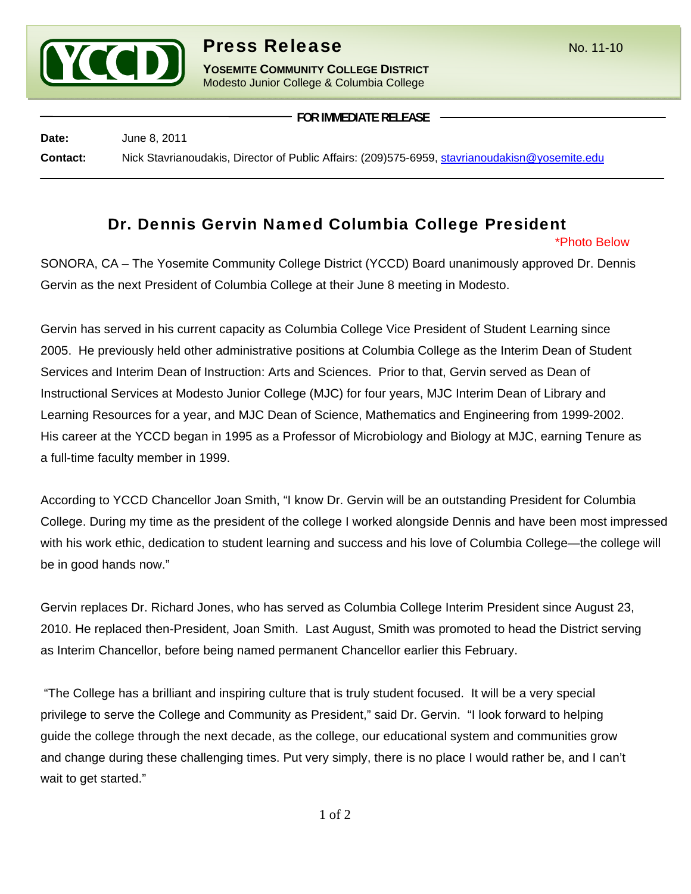

**YOSEMITE COMMUNITY COLLEGE DISTRICT** Modesto Junior College & Columbia College

**FOR IMMEDIATE RELEASE**

**Date:** June 8, 2011 **Contact:** Nick Stavrianoudakis, Director of Public Affairs: (209)575-6959, stavrianoudakisn@yosemite.edu

## Dr. Dennis Gervin Named Columbia College President

\*Photo Below

SONORA, CA – The Yosemite Community College District (YCCD) Board unanimously approved Dr. Dennis Gervin as the next President of Columbia College at their June 8 meeting in Modesto.

Gervin has served in his current capacity as Columbia College Vice President of Student Learning since 2005. He previously held other administrative positions at Columbia College as the Interim Dean of Student Services and Interim Dean of Instruction: Arts and Sciences. Prior to that, Gervin served as Dean of Instructional Services at Modesto Junior College (MJC) for four years, MJC Interim Dean of Library and Learning Resources for a year, and MJC Dean of Science, Mathematics and Engineering from 1999-2002. His career at the YCCD began in 1995 as a Professor of Microbiology and Biology at MJC, earning Tenure as a full-time faculty member in 1999.

According to YCCD Chancellor Joan Smith, "I know Dr. Gervin will be an outstanding President for Columbia College. During my time as the president of the college I worked alongside Dennis and have been most impressed with his work ethic, dedication to student learning and success and his love of Columbia College—the college will be in good hands now."

Gervin replaces Dr. Richard Jones, who has served as Columbia College Interim President since August 23, 2010. He replaced then-President, Joan Smith. Last August, Smith was promoted to head the District serving as Interim Chancellor, before being named permanent Chancellor earlier this February.

 "The College has a brilliant and inspiring culture that is truly student focused. It will be a very special privilege to serve the College and Community as President," said Dr. Gervin. "I look forward to helping guide the college through the next decade, as the college, our educational system and communities grow and change during these challenging times. Put very simply, there is no place I would rather be, and I can't wait to get started."